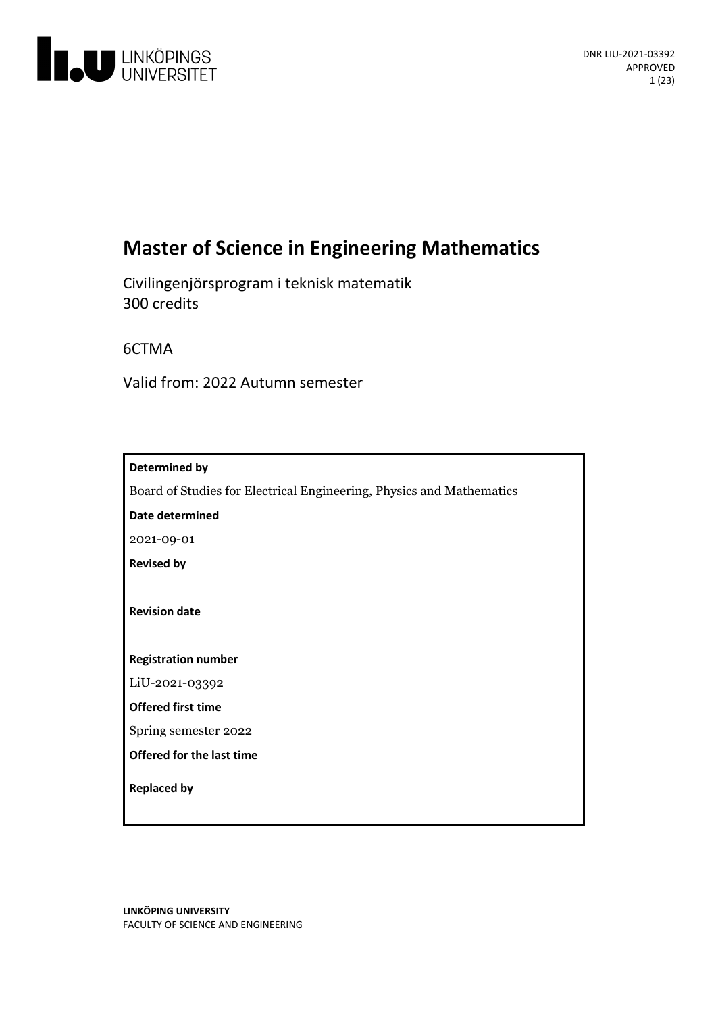

# **Master of Science in Engineering Mathematics**

Civilingenjörsprogram i teknisk matematik 300 credits

6CTMA

Valid from: 2022 Autumn semester

| Determined by                                                        |  |  |  |  |  |  |
|----------------------------------------------------------------------|--|--|--|--|--|--|
| Board of Studies for Electrical Engineering, Physics and Mathematics |  |  |  |  |  |  |
| Date determined                                                      |  |  |  |  |  |  |
| 2021-09-01                                                           |  |  |  |  |  |  |
| <b>Revised by</b>                                                    |  |  |  |  |  |  |
|                                                                      |  |  |  |  |  |  |
| <b>Revision date</b>                                                 |  |  |  |  |  |  |
|                                                                      |  |  |  |  |  |  |
| <b>Registration number</b>                                           |  |  |  |  |  |  |
| LiU-2021-03392                                                       |  |  |  |  |  |  |
| <b>Offered first time</b>                                            |  |  |  |  |  |  |
| Spring semester 2022                                                 |  |  |  |  |  |  |
| <b>Offered for the last time</b>                                     |  |  |  |  |  |  |
|                                                                      |  |  |  |  |  |  |
|                                                                      |  |  |  |  |  |  |
| <b>Replaced by</b>                                                   |  |  |  |  |  |  |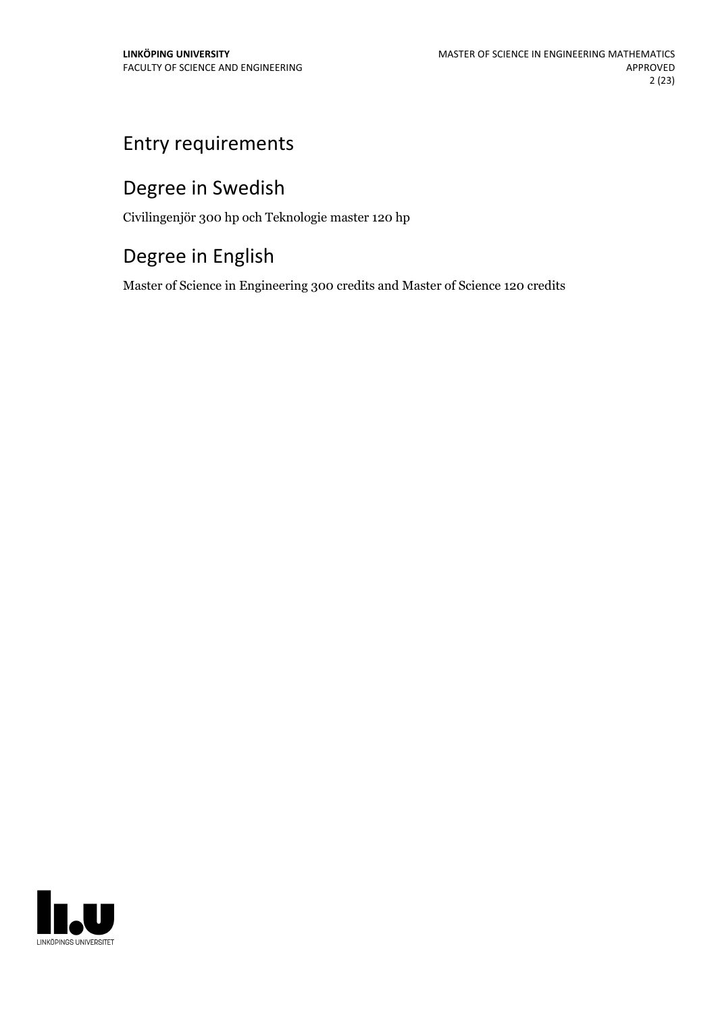# Entry requirements

# Degree in Swedish

Civilingenjör 300 hp och Teknologie master 120 hp

# Degree in English

Master of Science in Engineering 300 credits and Master of Science 120 credits

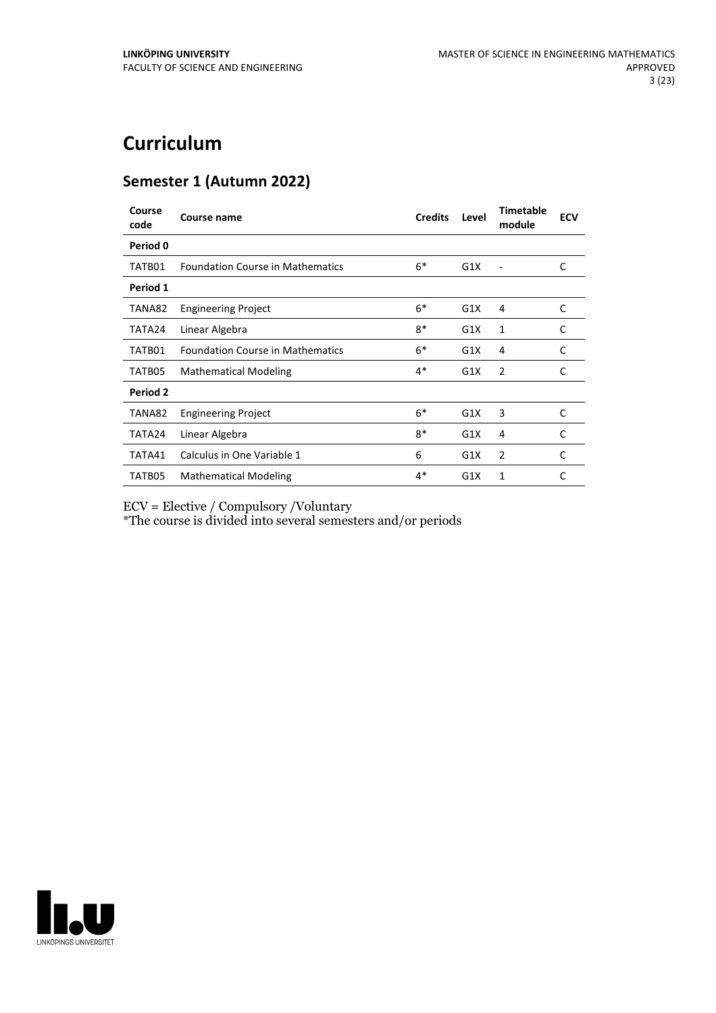# **Curriculum**

## **Semester 1 (Autumn 2022)**

| Course<br>code | <b>Course name</b>                      | <b>Credits</b> | Level | <b>Timetable</b><br>module | <b>ECV</b> |
|----------------|-----------------------------------------|----------------|-------|----------------------------|------------|
| Period 0       |                                         |                |       |                            |            |
| TATB01         | <b>Foundation Course in Mathematics</b> | $6*$           | G1X   | ۰                          | C          |
| Period 1       |                                         |                |       |                            |            |
| TANA82         | <b>Engineering Project</b>              | $6*$           | G1X   | 4                          | C          |
| TATA24         | Linear Algebra                          | $8*$           | G1X   | 1                          | C          |
| TATB01         | <b>Foundation Course in Mathematics</b> | $6*$           | G1X   | 4                          | C          |
| TATB05         | <b>Mathematical Modeling</b>            | $4*$           | G1X   | 2                          | C          |
| Period 2       |                                         |                |       |                            |            |
| TANA82         | <b>Engineering Project</b>              | $6*$           | G1X   | 3                          | C          |
| TATA24         | Linear Algebra                          | $8*$           | G1X   | 4                          | C          |
| TATA41         | Calculus in One Variable 1              | 6              | G1X   | 2                          | C          |
| TATB05         | <b>Mathematical Modeling</b>            | $4*$           | G1X   | 1                          | C          |

ECV = Elective / Compulsory /Voluntary

\*The course is divided into several semesters and/or periods

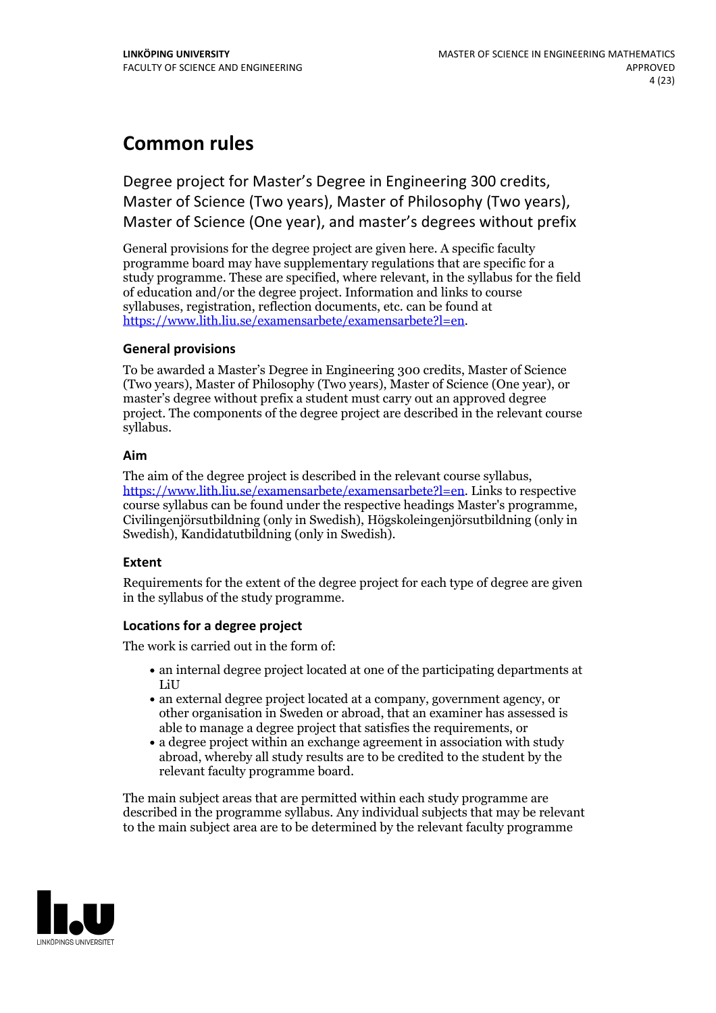## **Common rules**

Degree project for Master's Degree in Engineering 300 credits, Master of Science (Two years), Master of Philosophy (Two years), Master of Science (One year), and master's degrees without prefix

General provisions for the degree project are given here. A specific faculty programme board may have supplementary regulations that are specific for a study programme. These are specified, where relevant, in the syllabus for the field of education and/or the degree project. Information and links to course syllabuses, registration, reflection documents, etc. can be found at <https://www.lith.liu.se/examensarbete/examensarbete?l=en>.

## **General provisions**

To be awarded a Master's Degree in Engineering 300 credits, Master of Science (Two years), Master of Philosophy (Two years), Master of Science (One year), or master's degree without prefix a student must carry out an approved degree project. The components of the degree project are described in the relevant course syllabus.

## **Aim**

The aim of the degree project is described in the relevant course syllabus, <https://www.lith.liu.se/examensarbete/examensarbete?l=en>. Links to respective course syllabus can be found under the respective headings Master's programme, Civilingenjörsutbildning (only in Swedish), Högskoleingenjörsutbildning (only in Swedish), Kandidatutbildning (only in Swedish).

## **Extent**

Requirements for the extent of the degree project for each type of degree are given in the syllabus of the study programme.

## **Locations for a degree project**

The work is carried out in the form of:

- an internal degree project located at one of the participating departments at LiU
- an external degree project located at a company, government agency, or other organisation in Sweden or abroad, that an examiner has assessed is able to manage a degree project that satisfies the requirements, or
- a degree project within an exchange agreement in association with study abroad, whereby all study results are to be credited to the student by the relevant faculty programme board.

The main subject areas that are permitted within each study programme are described in the programme syllabus. Any individual subjects that may be relevant to the main subject area are to be determined by the relevant faculty programme

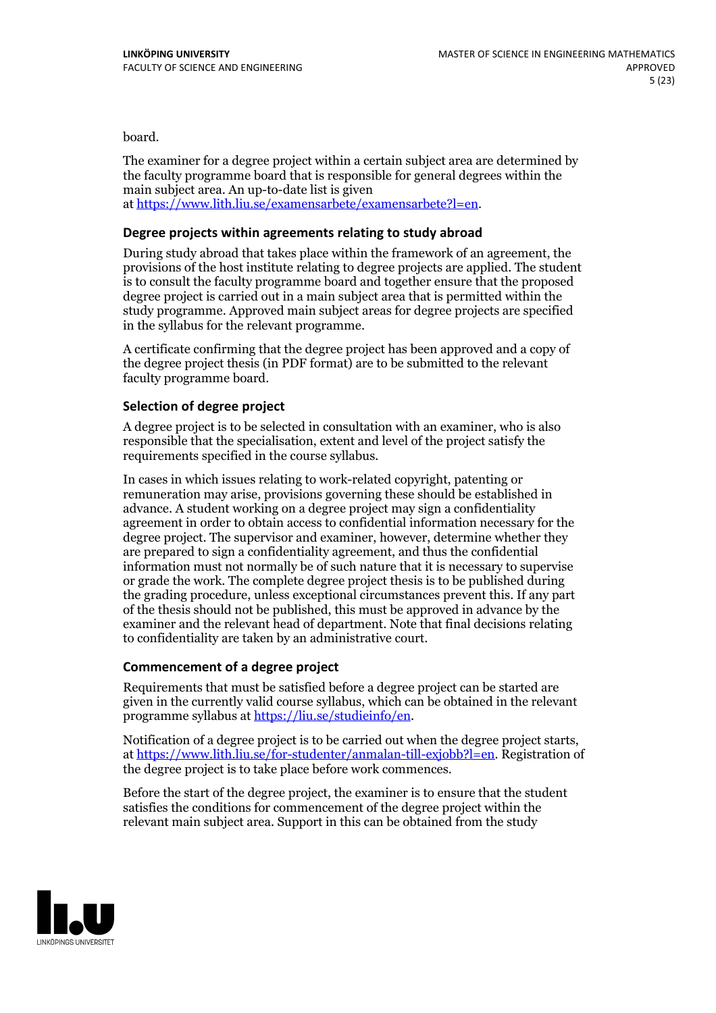board.

The examiner for a degree project within a certain subject area are determined by the faculty programme board that is responsible for general degrees within the main subject area. An up-to-date list is given at [https://www.lith.liu.se/examensarbete/examensarbete?l=en.](https://www.lith.liu.se/examensarbete/examensarbete?l=en)

## **Degree projects within agreements relatingto study abroad**

During study abroad that takes place within the framework of an agreement, the provisions of the host institute relating to degree projects are applied. The student is to consult the faculty programme board and together ensure that the proposed degree project is carried out in a main subject area that is permitted within the study programme. Approved main subject areas for degree projects are specified in the syllabus for the relevant programme.

A certificate confirming that the degree project has been approved and a copy of the degree project thesis (in PDF format) are to be submitted to the relevant faculty programme board.

## **Selection of degree project**

A degree project is to be selected in consultation with an examiner, who is also responsible that the specialisation, extent and level of the project satisfy the requirements specified in the course syllabus.

In cases in which issues relating to work-related copyright, patenting or remuneration may arise, provisions governing these should be established in advance. A student working on a degree project may sign a confidentiality agreement in order to obtain access to confidential information necessary for the degree project. The supervisor and examiner, however, determine whether they are prepared to sign a confidentiality agreement, and thus the confidential information must not normally be of such nature that it is necessary to supervise or grade the work. The complete degree project thesis is to be published during the grading procedure, unless exceptional circumstances prevent this. If any part of the thesis should not be published, this must be approved in advance by the examiner and the relevant head of department. Note that final decisions relating to confidentiality are taken by an administrative court.

## **Commencement of a degree project**

Requirements that must be satisfied before a degree project can be started are given in the currently valid course syllabus, which can be obtained in the relevant programme syllabus at <https://liu.se/studieinfo/en>.

Notification of a degree project is to be carried out when the degree project starts, at <https://www.lith.liu.se/for-studenter/anmalan-till-exjobb?l=en>. Registration of the degree project is to take place before work commences.

Before the start of the degree project, the examiner is to ensure that the student satisfies the conditions for commencement of the degree project within the relevant main subject area. Support in this can be obtained from the study

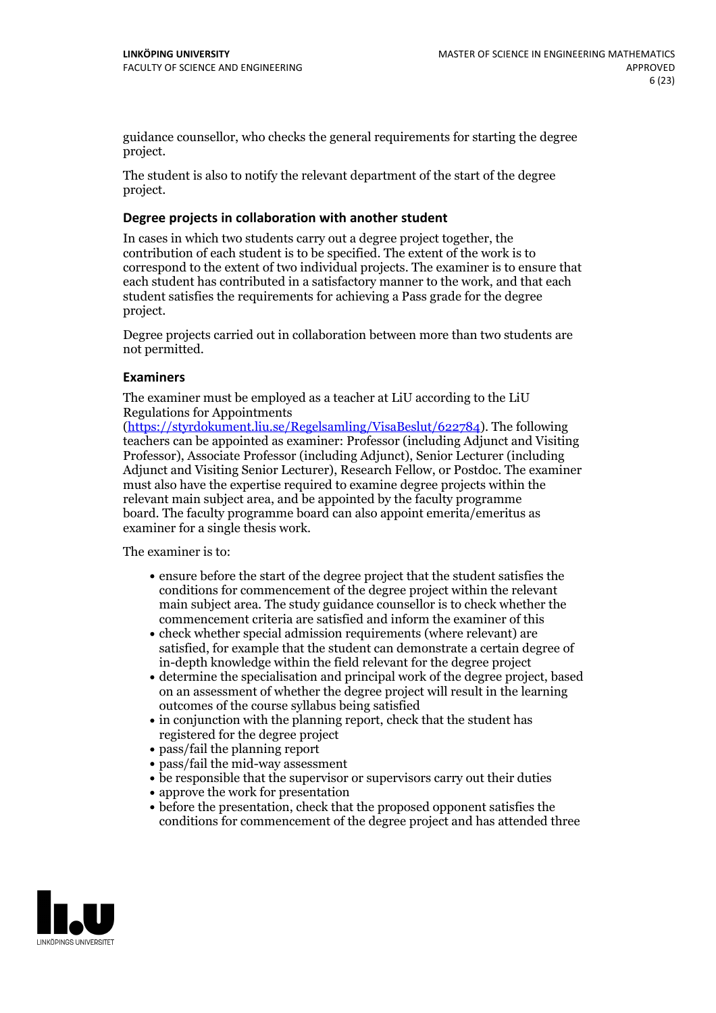guidance counsellor, who checks the general requirements for starting the degree project.

The student is also to notify the relevant department of the start of the degree project.

## **Degree projects in collaboration with another student**

In cases in which two students carry out a degree project together, the contribution of each student is to be specified. The extent of the work is to correspond to the extent of two individual projects. The examiner is to ensure that each student has contributed in a satisfactory manner to the work, and that each student satisfies the requirements for achieving a Pass grade for the degree project.

Degree projects carried out in collaboration between more than two students are not permitted.

## **Examiners**

The examiner must be employed as a teacher at LiU according to the LiU Regulations for Appointments

[\(https://styrdokument.liu.se/Regelsamling/VisaBeslut/622784](https://styrdokument.liu.se/Regelsamling/VisaBeslut/622784)). The following teachers can be appointed as examiner: Professor (including Adjunct and Visiting Professor), Associate Professor (including Adjunct), Senior Lecturer (including Adjunct and Visiting Senior Lecturer), Research Fellow, or Postdoc. The examiner must also have the expertise required to examine degree projects within the relevant main subject area, and be appointed by the faculty programme board. The faculty programme board can also appoint emerita/emeritus as examiner for a single thesis work.

The examiner is to:

- ensure before the start of the degree project that the student satisfies the conditions for commencement of the degree project within the relevant main subject area. The study guidance counsellor is to check whether the commencement criteria are satisfied and inform the examiner of this
- check whether special admission requirements (where relevant) are satisfied, for example that the student can demonstrate a certain degree of in-depth knowledge within the field relevant for the degree project
- determine the specialisation and principal work of the degree project, based on an assessment of whether the degree project will result in the learning outcomes of the course syllabus being satisfied
- $\bullet$  in conjunction with the planning report, check that the student has registered for the degree project
- pass/fail the planning report
- pass/fail the mid-way assessment
- be responsible that the supervisor or supervisors carry out their duties
- approve the work for presentation
- before the presentation, check that the proposed opponent satisfies the conditions for commencement of the degree project and has attended three

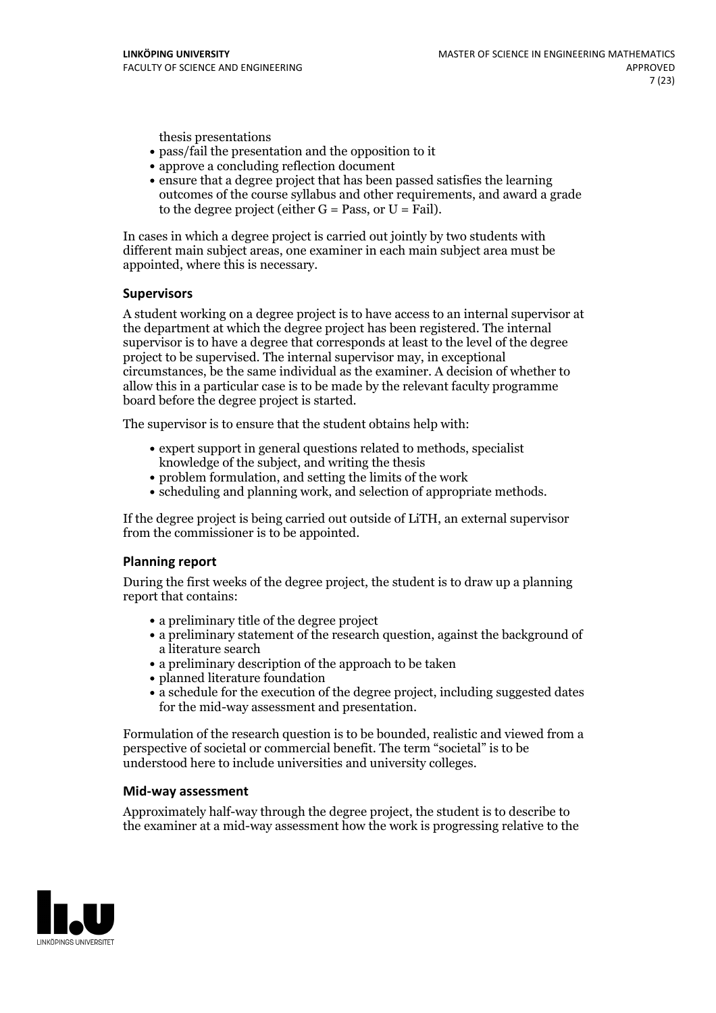thesis presentations

- pass/fail the presentation and the opposition to it
- approve a concluding reflection document
- ensure that a degree project that has been passed satisfies the learning outcomes of the course syllabus and other requirements, and award a grade to the degree project (either  $G = Pass$ , or  $U = Fail$ ).

In cases in which a degree project is carried out jointly by two students with different main subject areas, one examiner in each main subject area must be appointed, where this is necessary.

## **Supervisors**

A student working on a degree project is to have access to an internal supervisor at the department at which the degree project has been registered. The internal supervisor is to have a degree that corresponds at least to the level of the degree project to be supervised. The internal supervisor may, in exceptional circumstances, be the same individual as the examiner. A decision of whether to allow this in a particular case is to be made by the relevant faculty programme board before the degree project is started.

The supervisor is to ensure that the student obtains help with:

- expert support in general questions related to methods, specialist knowledge of the subject, and writing the thesis
- problem formulation, and setting the limits of the work
- scheduling and planning work, and selection of appropriate methods.

If the degree project is being carried out outside of LiTH, an external supervisor from the commissioner is to be appointed.

## **Planning report**

During the first weeks of the degree project, the student is to draw up a planning report that contains:

- a preliminary title of the degree project
- a preliminary statement of the research question, against the background of a literature search
- a preliminary description of the approach to be taken
- planned literature foundation
- a schedule for the execution of the degree project, including suggested dates for the mid-way assessment and presentation.

Formulation of the research question is to be bounded, realistic and viewed from a perspective ofsocietal or commercial benefit. The term "societal" is to be understood here to include universities and university colleges.

## **Mid-way assessment**

Approximately half-way through the degree project, the student is to describe to the examiner at a mid-way assessment how the work is progressing relative to the

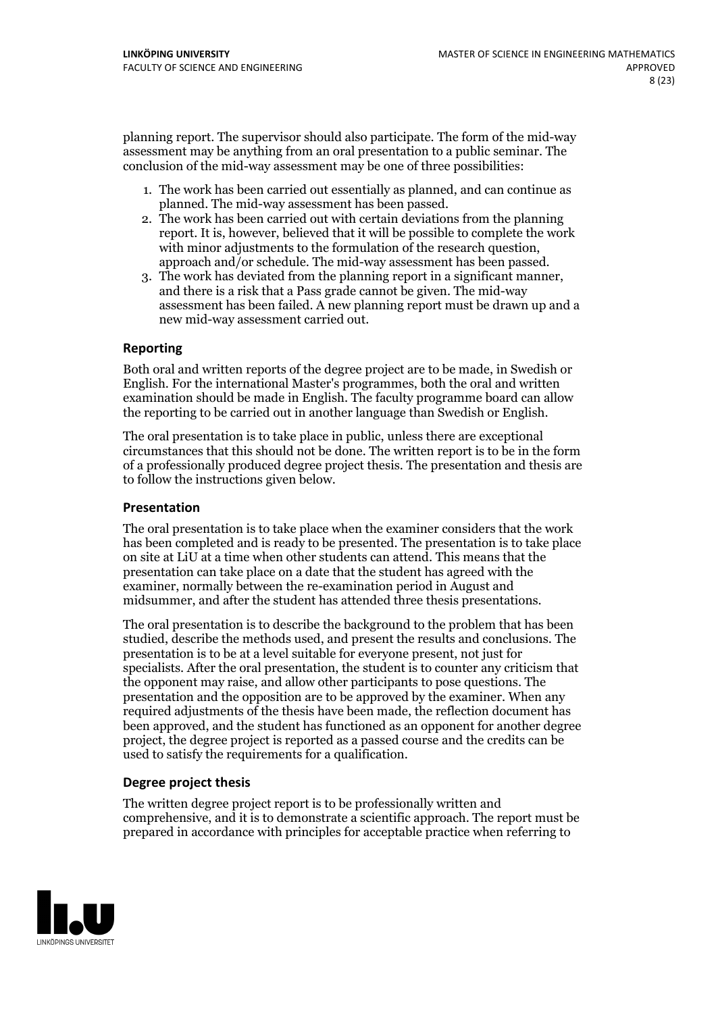planning report. The supervisor should also participate. The form of the mid-way assessment may be anything from an oral presentation to a public seminar. The conclusion of the mid-way assessment may be one of three possibilities:

- 1. The work has been carried out essentially as planned, and can continue as planned. The mid-way assessment has been passed.
- 2. The work has been carried out with certain deviations from the planning report. It is, however, believed that it will be possible to complete the work with minor adjustments to the formulation of the research question,<br>approach and/or schedule. The mid-way assessment has been passed.<br>3. The work has deviated from the planning report in a significant manner,<br>and there is
- assessment has been failed. A new planning report must be drawn up and a new mid-way assessment carried out.

## **Reporting**

Both oral and written reports of the degree project are to be made, in Swedish or English. For the international Master's programmes, both the oral and written examination should be made in English. The faculty programme board can allow the reporting to be carried out in another language than Swedish or English.

The oral presentation is to take place in public, unless there are exceptional circumstances that this should not be done. The written report is to be in the form of a professionally produced degree project thesis. The presentation and thesis are to follow the instructions given below.

## **Presentation**

The oral presentation is to take place when the examiner considers that the work has been completed and is ready to be presented. The presentation is to take place on site at LiU at atime when other students can attend. This means that the presentation can take place on a date that the student has agreed with the examiner, normally between the re-examination period in August and midsummer, and after the student has attended three thesis presentations.

The oral presentation is to describe the background to the problem that has been studied, describe the methods used, and present the results and conclusions. The presentation is to be at a level suitable for everyone present, not just for specialists. After the oral presentation, the student is to counter any criticism that the opponent may raise, and allow other participants to pose questions. The presentation and the opposition are to be approved by the examiner. When any required adjustments of the thesis have been made, the reflection document has been approved, and the student has functioned as an opponent for another degree project, the degree project is reported as a passed course and the credits can be used to satisfy the requirements for a qualification.

## **Degree project thesis**

The written degree project report is to be professionally written and comprehensive, and it is to demonstrate a scientific approach. The report must be prepared in accordance with principles for acceptable practice when referring to

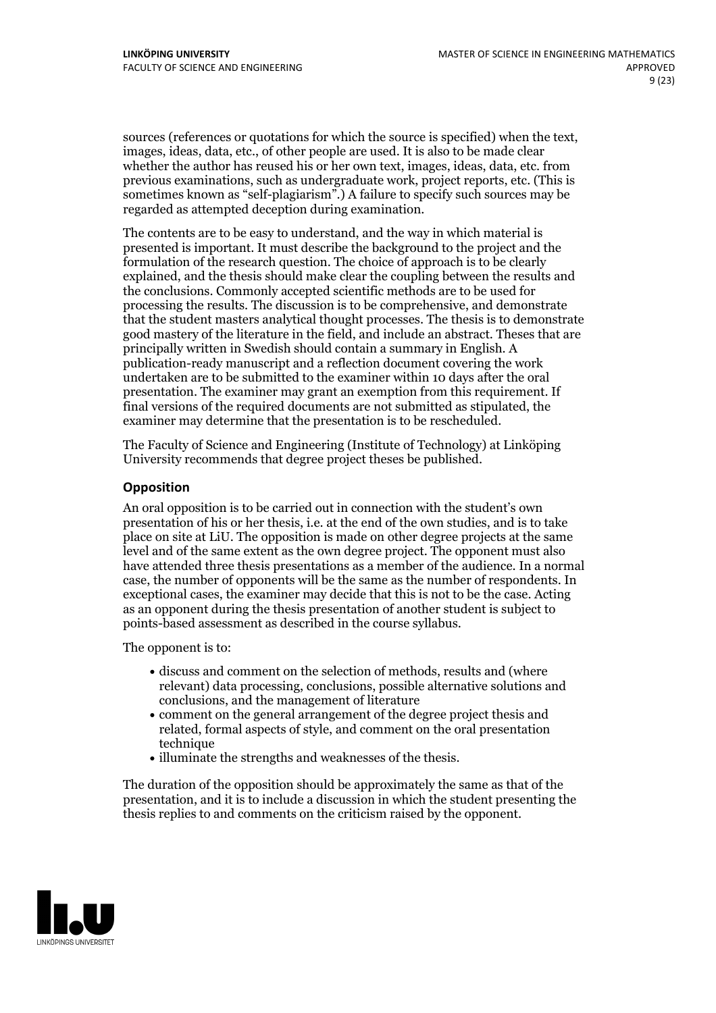sources (references or quotations for which the source is specified) when the text, images, ideas, data, etc., of other people are used. It is also to be made clear whether the author has reused his or her own text, images, ideas, data, etc. from previous examinations, such asundergraduate work, project reports, etc. (This is sometimes known as "self-plagiarism".) A failure to specify such sources may be regarded as attempted deception during examination.

The contents are to be easy to understand, and the way in which material is presented is important. It must describe the background to the project and the formulation of the research question. The choice of approach is to be clearly explained, and the thesis should make clear the coupling between the results and the conclusions. Commonly accepted scientific methods are to be used for processing the results. The discussion is to be comprehensive, and demonstrate that the student masters analytical thought processes. The thesis is to demonstrate good mastery of the literature in the field, and include an abstract. Theses that are principally written in Swedish should contain a summary in English. A publication-ready manuscript and a reflection document covering the work undertaken are to be submitted to the examiner within 10 days after the oral presentation. The examiner may grant an exemption from this requirement. If final versions of the required documents are not submitted as stipulated, the examiner may determine that the presentation is to be rescheduled.

The Faculty of Science and Engineering (Institute of Technology) at Linköping University recommends that degree project theses be published.

## **Opposition**

An oral opposition is to be carried out in connection with the student's own presentation of his or her thesis, i.e. at the end of the own studies, and is to take place on site at LiU. The opposition is made on other degree projects at the same level and of the same extent as the own degree project. The opponent must also have attended three thesis presentations as a member of the audience. In a normal case, the number of opponents will be the same as the number of respondents. In exceptional cases, the examiner may decide that this is not to be the case. Acting as an opponent during the thesis presentation of another student is subject to points-based assessment as described in the course syllabus.

The opponent is to:

- discuss and comment on the selection of methods, results and (where relevant) data processing, conclusions, possible alternative solutions and conclusions, and the management of literature
- comment on the general arrangement of the degree project thesis and related, formal aspects of style, and comment on the oral presentation technique
- illuminate the strengths and weaknesses of the thesis.

The duration of the opposition should be approximately the same as that of the presentation, and it is to include a discussion in which the student presenting the thesis replies to and comments on the criticism raised by the opponent.

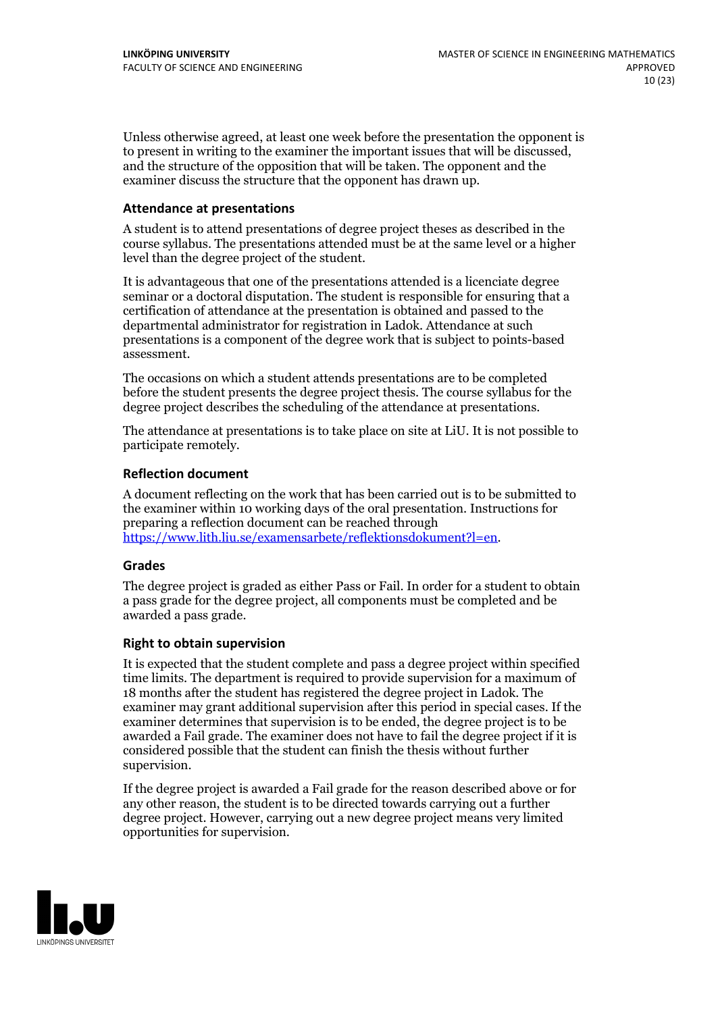Unless otherwise agreed, at least one week before the presentation the opponent is to present in writing to the examiner the important issues that will be discussed, and the structure ofthe opposition that will be taken. The opponent and the examiner discuss the structure that the opponent has drawn up.

## **Attendance at presentations**

A student is to attend presentations of degree project theses as described in the course syllabus. The presentations attended must be at the same level or a higher level than the degree project of the student.

It is advantageous that one of the presentations attended is a licenciate degree seminar or a doctoral disputation. The student is responsible for ensuring that a certification of attendance at the presentation is obtained and passed to the departmental administrator for registration in Ladok. Attendance at such presentations is a component of the degree work that is subject to points-based assessment.

The occasions on which a student attends presentations are to be completed before the student presents the degree project thesis. The course syllabus for the degree project describes the scheduling of the attendance at presentations.

The attendance at presentations is to take place on site at LiU. It is not possible to participate remotely.

#### **Reflection document**

A document reflecting on the work that has been carried outis to be submitted to the examiner within 10 working days of the oral presentation. Instructions for preparing a reflection document can be reached through [https://www.lith.liu.se/examensarbete/reflektionsdokument?l=en.](https://www.lith.liu.se/examensarbete/reflektionsdokument?l=en)

#### **Grades**

The degree project is graded as either Pass or Fail. In order for a student to obtain a pass grade for the degree project, all components must be completed and be awarded a pass grade.

#### **Right to obtain supervision**

It is expected that the student complete and pass a degree project within specified time limits. The department is required to provide supervision for a maximum of 18 months after the student has registered the degree project in Ladok. The examiner may grant additional supervision after this period in special cases. If the examiner determines that supervision is to be ended, the degree project is to be awarded a Fail grade. The examiner does not have to fail the degree project if it is considered possible that the student can finish the thesis without further supervision.

If the degree project is awarded a Fail grade for the reason described above or for any other reason, the student is to be directed towards carrying out a further degree project. However, carrying out a new degree project means very limited opportunities for supervision.

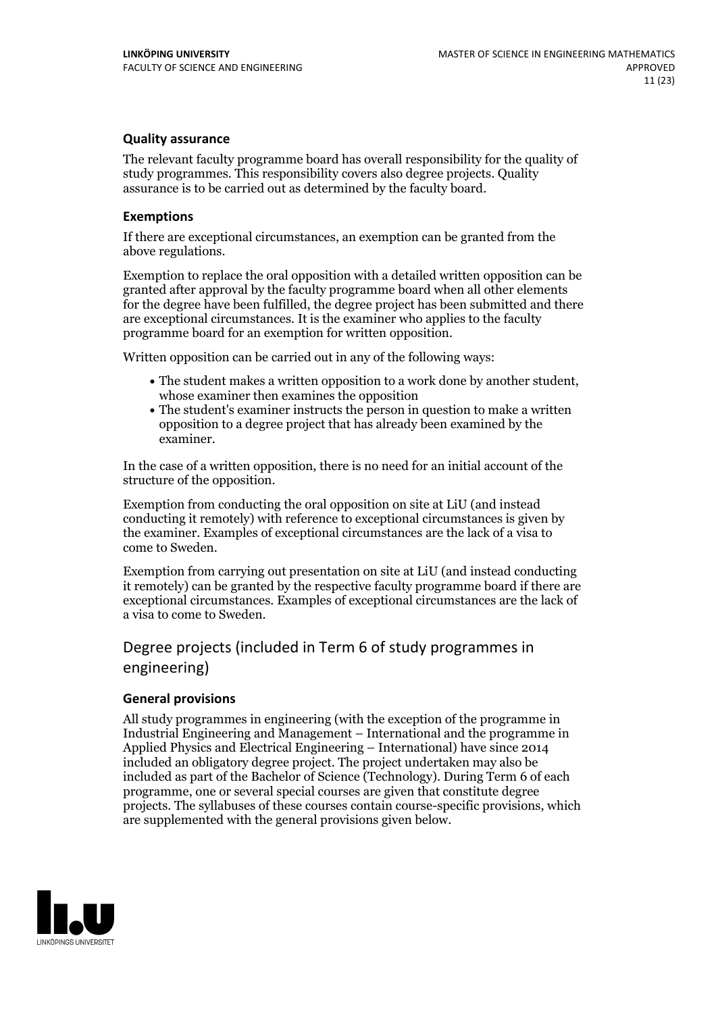## **Quality assurance**

The relevant faculty programme board has overall responsibility for the quality of study programmes. This responsibility covers also degree projects. Quality assurance is to be carried out as determined by the faculty board.

## **Exemptions**

If there are exceptional circumstances, an exemption can be granted from the above regulations.

Exemption to replace the oral opposition with a detailed written opposition can be granted after approval by the faculty programme board when all other elements for the degree have been fulfilled, the degree project has been submitted and there are exceptional circumstances. It is the examiner who applies to the faculty programme board for an exemption for written opposition.

Written opposition can be carried out in any of the following ways:

- The student makes <sup>a</sup> written opposition to <sup>a</sup> work done by another student, whose examiner then examines the opposition
- The student's examiner instructs the person in question to make a written opposition to a degree project that has already been examined by the examiner.

In the case of a written opposition, there is no need for an initial account of the structure of the opposition.

Exemption from conducting the oral opposition on site at LiU (and instead conducting it remotely) with reference to exceptional circumstances is given by the examiner. Examples of exceptional circumstances are the lack of a visa to come to Sweden.

Exemption from carrying out presentation on site at LiU (and instead conducting it remotely) can be granted by the respective faculty programme board if there are exceptional circumstances. Examples of exceptional circumstances are the lack of a visa to come to Sweden.

## Degree projects (included in Term 6 of study programmes in engineering)

## **General provisions**

All study programmes in engineering (with the exception of the programme in Industrial Engineering and Management – International and the programme in Applied Physics and Electrical Engineering – International) have since 2014 included an obligatory degree project. The project undertaken may also be included as part of the Bachelor of Science (Technology). During Term 6 of each programme, one or several special courses are given that constitute degree projects. The syllabuses of these courses contain course-specific provisions, which are supplemented with the general provisions given below.

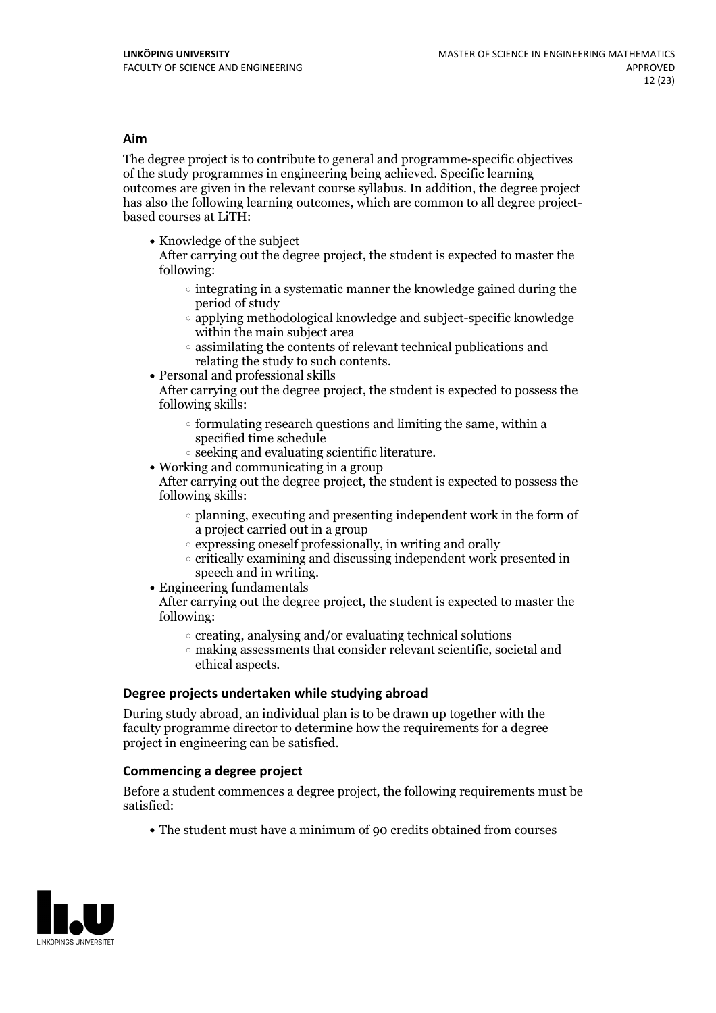## **Aim**

The degree project is to contribute to general and programme-specific objectives of the study programmes in engineering being achieved. Specific learning outcomes are given in the relevant course syllabus. In addition, the degree project has also the following learning outcomes, which are common to all degree project- based courses at LiTH:

• Knowledge of the subject

After carrying out the degree project, the student is expected to master the following:

- $\circ$  integrating in a systematic manner the knowledge gained during the period of study
- $\circ$  applying methodological knowledge and subject-specific knowledge within the main subject area
- $\circ$  assimilating the contents of relevant technical publications and relating the study to such contents.<br>• Personal and professional skills
- 

After carrying out the degree project, the student is expected to possess the following skills:

- $\circ$  formulating research questions and limiting the same, within a specified time schedule
- $\circ$  seeking and evaluating scientific literature. <br> Working and communicating in a group
- 

After carrying out the degree project, the student is expected to possess the following skills:

- $\circ$  planning, executing and presenting independent work in the form of a project carried out in a group
- $\circ$  expressing oneself professionally, in writing and orally
- $\circ$  critically examining and discussing independent work presented in speech and in writing.
- $\bullet$  Engineering fundamentals

After carrying out the degree project, the student is expected to master the following:

- $\circ$  creating, analysing and/or evaluating technical solutions
- making assessments that consider relevant scientific, societal and ethical aspects.

## **Degree projects undertaken while studying abroad**

During study abroad, an individual plan is to be drawn up together with the faculty programme director to determine how the requirements for a degree project in engineering can be satisfied.

## **Commencing a degree project**

Before a student commences a degree project, the following requirements must be satisfied:

The student must have a minimum of 90 credits obtained from courses

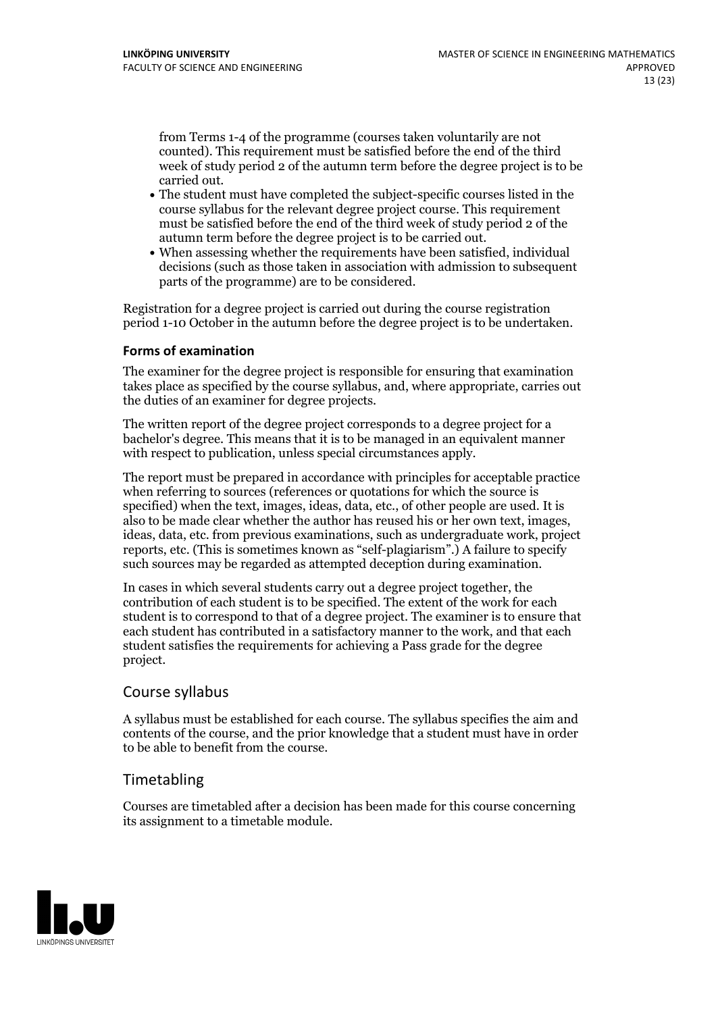from Terms 1-4 of the programme (courses taken voluntarily are not counted). This requirement must be satisfied before the end of the third week of study period 2 of the autumn term before the degree project is to be

- carried out.<br>• The student must have completed the subject-specific courses listed in the course syllabus for the relevant degree project course. This requirement must be satisfied before the end of the third week of study period 2 of the
- autumn term before the degree project is to be carried out.<br>• When assessing whether the requirements have been satisfied, individual decisions (such as those taken in association with admission to subsequent parts of the programme) are to be considered.

Registration for a degree project is carried out during the course registration period 1-10 October in the autumn before the degree project is to be undertaken.

## **Forms of examination**

The examiner for the degree project is responsible for ensuring that examination takes place as specified by the course syllabus, and, where appropriate, carries out the duties of an examiner for degree projects.

The written report of the degree project corresponds to a degree project for a bachelor's degree. This means that it is to be managed in an equivalent manner with respect to publication, unless special circumstances apply.

The report must be prepared in accordance with principles for acceptable practice when referring to sources (references or quotations for which the source is specified) when the text, images, ideas, data, etc., of other people are used. It is also to be made clear whether the author has reused his or her own text, images, ideas, data, etc. from previous examinations, such as undergraduate work, project reports, etc. (This is sometimes known as"self-plagiarism".) A failure to specify such sources may be regarded as attempted deception during examination.

In cases in which several students carry out a degree project together, the contribution of each student is to be specified. The extent of the work for each student is to correspond to that of a degree project. The examiner is to ensure that each student has contributed in a satisfactory manner to the work, and that each student satisfies the requirements for achieving a Pass grade for the degree project.

## Course syllabus

A syllabus must be established for each course. The syllabus specifies the aim and contents of the course, and the prior knowledge that a student must have in order to be able to benefit from the course.

## Timetabling

Courses are timetabled after a decision has been made for this course concerning its assignment to a timetable module.

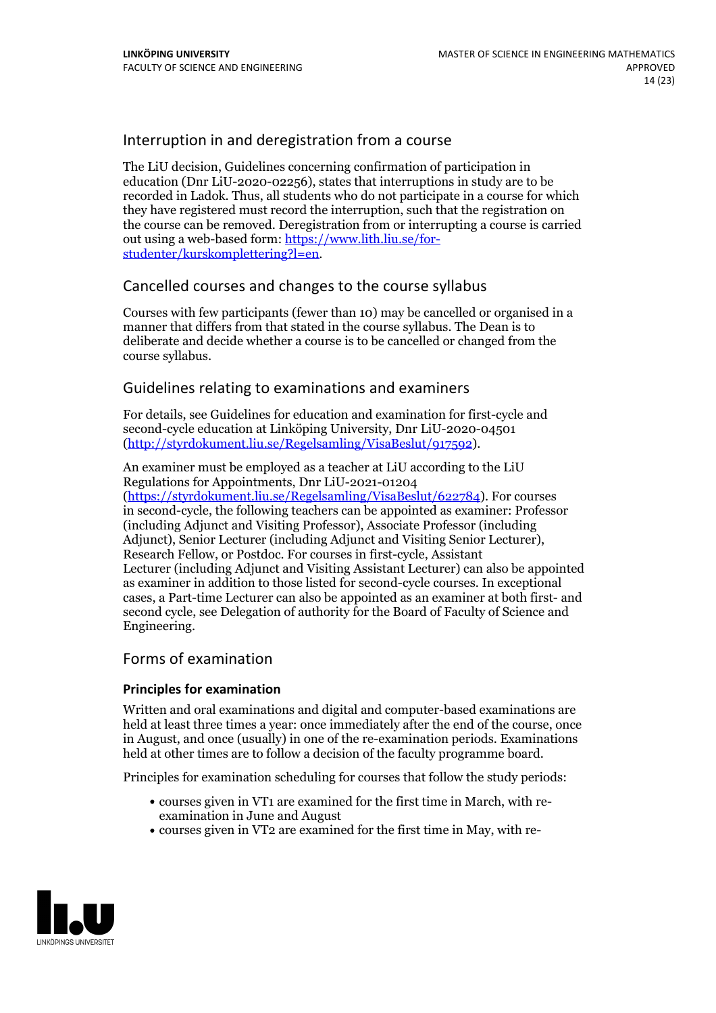## Interruption in and deregistration from a course

The LiU decision, Guidelines concerning confirmation of participation in education (Dnr LiU-2020-02256), states that interruptions in study are to be recorded in Ladok. Thus, all students who do not participate in a course for which they have registered must record the interruption, such that the registration on the course can be removed. Deregistration from or interrupting a course is carried out using <sup>a</sup> web-based form: https://www.lith.liu.se/for- [studenter/kurskomplettering?l=en.](https://www.lith.liu.se/for-studenter/kurskomplettering?l=en)

## Cancelled coursesand changes to the course syllabus

Courses with few participants (fewer than 10) may be cancelled or organised in a manner that differs from that stated in the course syllabus. The Dean is to deliberate and decide whether a course is to be cancelled or changed from the course syllabus.

## Guidelines relating to examinations and examiners

For details, see Guidelines for education and examination for first-cycle and second-cycle education at Linköping University, Dnr LiU-2020-04501 [\(http://styrdokument.liu.se/Regelsamling/VisaBeslut/917592\)](http://styrdokument.liu.se/Regelsamling/VisaBeslut/917592).

An examiner must be employed as a teacher at LiU according to the LiU Regulations for Appointments, Dnr LiU-2021-01204

[\(https://styrdokument.liu.se/Regelsamling/VisaBeslut/622784](https://styrdokument.liu.se/Regelsamling/VisaBeslut/622784)). For courses in second-cycle, the following teachers can be appointed as examiner: Professor (including Adjunct and Visiting Professor), Associate Professor (including Adjunct), Senior Lecturer (including Adjunct and Visiting Senior Lecturer), Research Fellow, or Postdoc. For courses in first-cycle, Assistant Lecturer (including Adjunct and Visiting Assistant Lecturer) can also be appointed as examiner in addition to those listed for second-cycle courses. In exceptional cases, a Part-time Lecturer can also be appointed as an examiner at both first- and second cycle, see Delegation of authority for the Board of Faculty of Science and Engineering.

## Forms of examination

## **Principles for examination**

Written and oral examinations and digital and computer-based examinations are held at least three times a year: once immediately after the end of the course, once in August, and once (usually) in one of the re-examination periods. Examinations held at other times are to follow a decision of the faculty programme board.

Principles for examination scheduling for courses that follow the study periods:

- courses given in VT1 are examined for the first time in March, with re-examination in June and August
- courses given in VT2 are examined for the first time in May, with re-

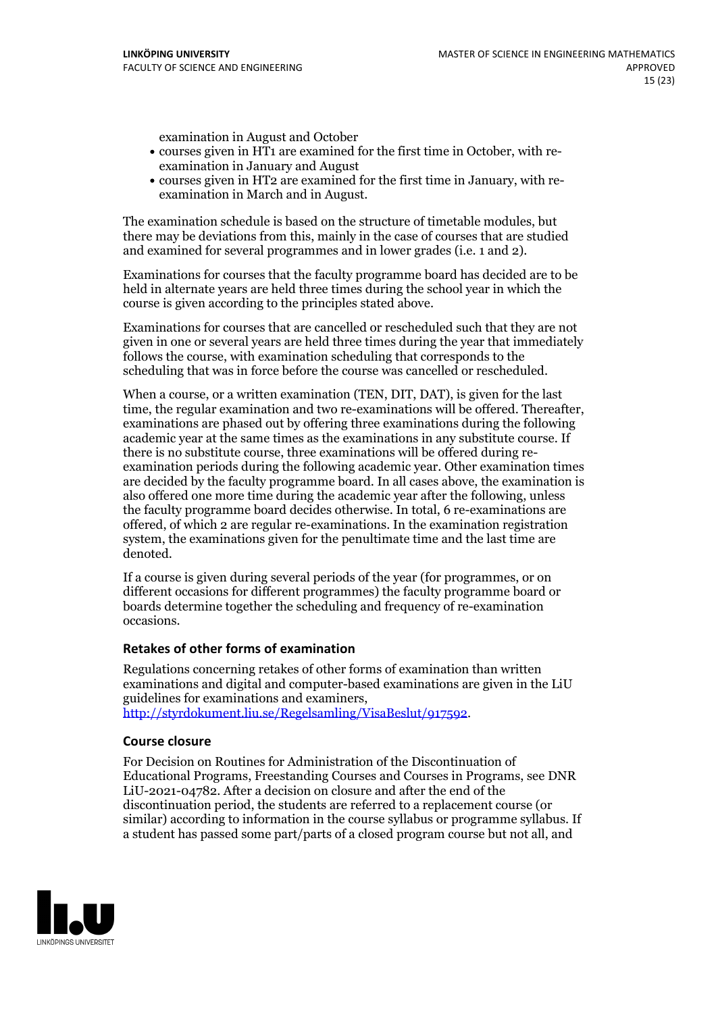examination in August and October

- courses given in HT1 are examined for the first time in October, with re-examination in January and August
- courses given in HT2 are examined for the first time in January, with re-examination in March and in August.

The examination schedule is based on the structure of timetable modules, but there may be deviations from this, mainly in the case of courses that are studied and examined for several programmes and in lower grades (i.e. 1 and 2).

Examinations for courses that the faculty programme board has decided are to be held in alternate years are held three times during the school year in which the course is given according to the principles stated above.

Examinations for courses that are cancelled orrescheduled such that they are not given in one or several years are held three times during the year that immediately follows the course, with examination scheduling that corresponds to the scheduling that was in force before the course was cancelled or rescheduled.

When a course, or a written examination (TEN, DIT, DAT), is given for the last time, the regular examination and two re-examinations will be offered. Thereafter, examinations are phased out by offering three examinations during the following academic year at the same times as the examinations in any substitute course. If there is no substitute course, three examinations will be offered during re- examination periods during the following academic year. Other examination times are decided by the faculty programme board. In all cases above, the examination is also offered one more time during the academic year after the following, unless the faculty programme board decides otherwise. In total, 6 re-examinations are offered, of which 2 are regular re-examinations. In the examination registration system, the examinations given for the penultimate time and the last time are denoted.

If a course is given during several periods of the year (for programmes, or on different occasions for different programmes) the faculty programme board or boards determine together the scheduling and frequency of re-examination occasions.

## **Retakes of other forms of examination**

Regulations concerning retakes of other forms of examination than written examinations and digital and computer-based examinations are given in the LiU guidelines for examinations and examiners, [http://styrdokument.liu.se/Regelsamling/VisaBeslut/917592.](http://styrdokument.liu.se/Regelsamling/VisaBeslut/917592)

## **Course closure**

For Decision on Routines for Administration of the Discontinuation of Educational Programs, Freestanding Courses and Courses in Programs, see DNR LiU-2021-04782. After a decision on closure and after the end of the discontinuation period, the students are referred to a replacement course (or similar) according to information in the course syllabus or programme syllabus. If a student has passed some part/parts of a closed program course but not all, and

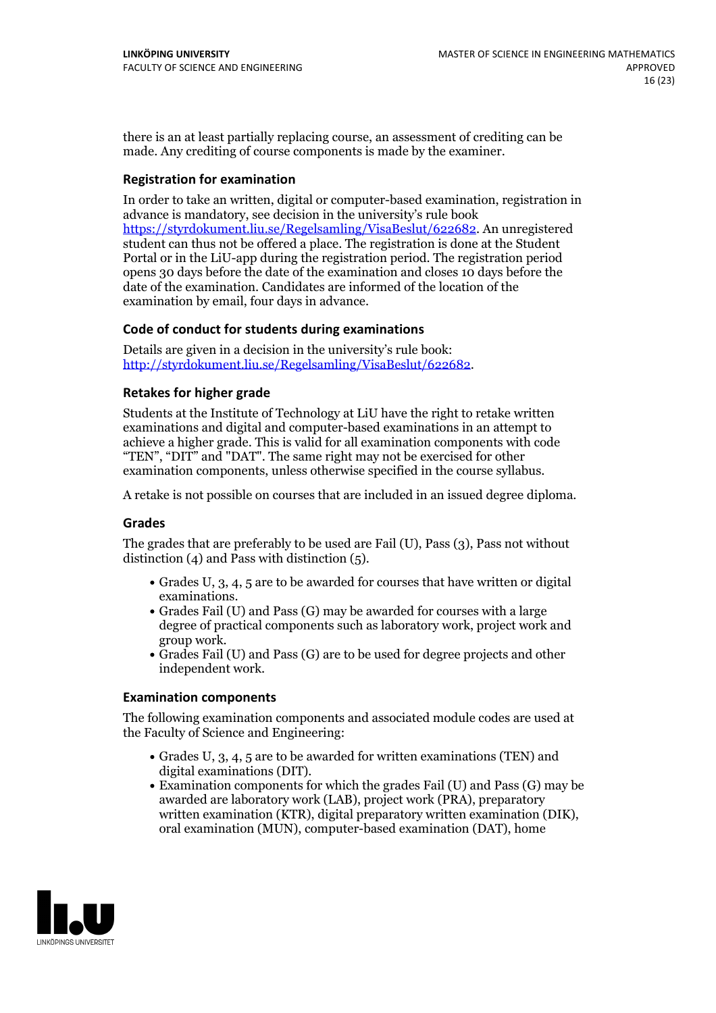there is an at least partially replacing course, an assessment of crediting can be made. Any crediting of course components is made by the examiner.

## **Registration for examination**

In order to take an written, digital or computer-based examination, registration in advance is mandatory, see decision in the university's rule book [https://styrdokument.liu.se/Regelsamling/VisaBeslut/622682.](https://styrdokument.liu.se/Regelsamling/VisaBeslut/622682) An unregistered student can thus not be offered a place. The registration is done at the Student Portal or in the LiU-app during the registration period. The registration period opens 30 days before the date of the examination and closes 10 days before the date of the examination. Candidates are informed of the location of the examination by email, four days in advance.

## **Code of conduct for students during examinations**

Details are given in a decision in the university's rule book: <http://styrdokument.liu.se/Regelsamling/VisaBeslut/622682>.

## **Retakes for higher grade**

Students at the Institute of Technology at LiU have the right to retake written examinations and digital and computer-based examinations in an attempt to achieve a higher grade. This is valid for all examination components with code "TEN", "DIT" and "DAT". The same right may not be exercised for other examination components, unless otherwise specified in the course syllabus.

A retake is not possible on courses that are included in an issued degree diploma.

## **Grades**

The grades that are preferably to be used are Fail (U), Pass (3), Pass not without distinction (4) and Pass with distinction (5).

- Grades U, 3, 4, 5 are to be awarded for courses that have written or digital examinations.<br>• Grades Fail (U) and Pass (G) may be awarded for courses with a large
- degree of practical components such as laboratory work, project work and group work.<br>• Grades Fail (U) and Pass (G) are to be used for degree projects and other
- independent work.

## **Examination components**

The following examination components and associated module codes are used at the Faculty of Science and Engineering:

- Grades U, 3, 4, 5 are to be awarded for written examinations (TEN) and digital examinations (DIT).
- $\bullet$  Examination components for which the grades Fail (U) and Pass (G) may be awarded are laboratory work (LAB), project work (PRA), preparatory written examination (KTR), digital preparatory written examination (DIK), oral examination (MUN), computer-based examination (DAT), home

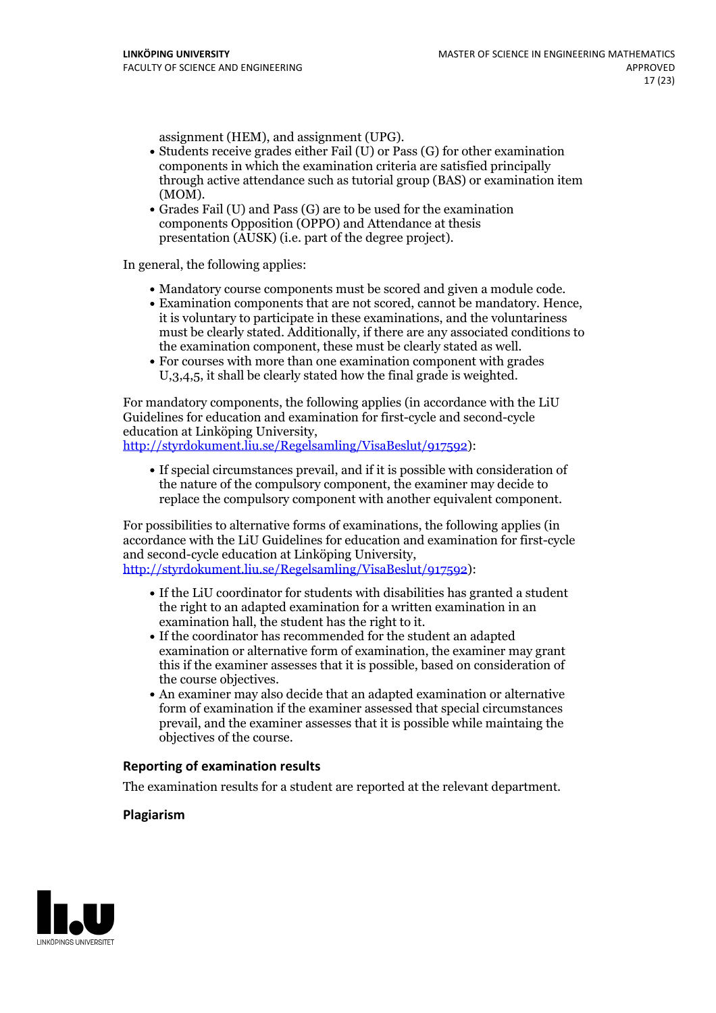- assignment (HEM), and assignment (UPG).<br>• Students receive grades either Fail (U) or Pass (G) for other examination components in which the examination criteria are satisfied principally through active attendance such as tutorial group (BAS) or examination item
- (MOM).<br>• Grades Fail (U) and Pass (G) are to be used for the examination components Opposition (OPPO) and Attendance at thesis presentation (AUSK) (i.e. part of the degree project).

In general, the following applies:

- 
- Mandatory course components must be scored and given <sup>a</sup> module code. Examination components that are not scored, cannot be mandatory. Hence, it is voluntary to participate in these examinations, and the voluntariness must be clearly stated. Additionally, if there are any associated conditions to the examination component, these must be clearly stated as well.<br>• For courses with more than one examination component with grades
- U,3,4,5, it shall be clearly stated how the final grade is weighted.

For mandatory components, the following applies (in accordance with the LiU Guidelines for education and examination for first-cycle and second-cycle education at Linköping University, [http://styrdokument.liu.se/Regelsamling/VisaBeslut/917592\)](http://styrdokument.liu.se/Regelsamling/VisaBeslut/917592):

If special circumstances prevail, and if it is possible with consideration of the nature of the compulsory component, the examiner may decide to replace the compulsory component with another equivalent component.

For possibilities to alternative forms of examinations, the following applies (in accordance with the LiU Guidelines for education and examination for first-cycle [http://styrdokument.liu.se/Regelsamling/VisaBeslut/917592\)](http://styrdokument.liu.se/Regelsamling/VisaBeslut/917592):

- If the LiU coordinator for students with disabilities has granted a student the right to an adapted examination for a written examination in an examination hall, the student has the right to it.<br>If the coordinator has recommended for the student an adapted
- examination or alternative form of examination, the examiner may grant this if the examiner assesses that it is possible, based on consideration of
- $\bullet$  An examiner may also decide that an adapted examination or alternative form of examination if the examiner assessed that special circumstances prevail, and the examiner assesses that it is possible while maintaing the objectives of the course.

## **Reporting of examination results**

The examination results for a student are reported at the relevant department.

## **Plagiarism**

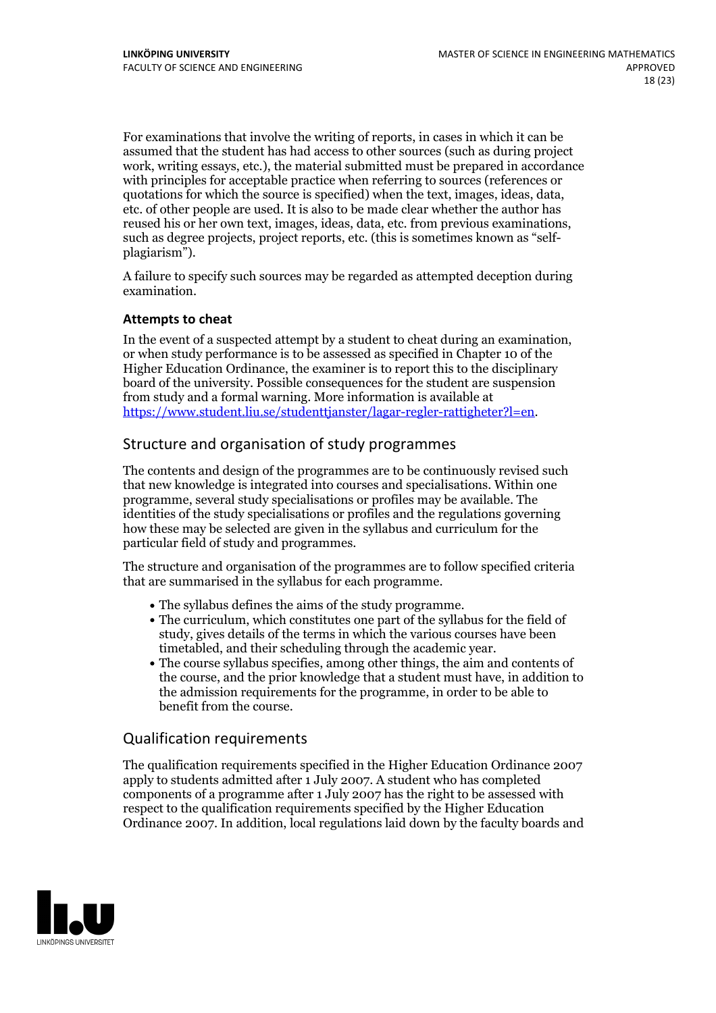For examinations that involve the writing of reports, in cases in which it can be assumed that the student has had access to other sources (such asduring project work, writing essays, etc.), the material submitted must be prepared in accordance with principles for acceptable practice when referring to sources (references or quotations for which the source is specified) when the text, images, ideas, data, etc. of other people are used. It is also to be made clear whether the author has reused his or her own text, images, ideas, data, etc. from previous examinations, such as degree projects, project reports, etc. (this is sometimes known as "self-<br>plagiarism").

A failure to specify such sources may be regarded as attempted deception during examination.

## **Attempts to cheat**

In the event of <sup>a</sup> suspected attempt by <sup>a</sup> student to cheat during an examination, or when study performance is to be assessed as specified in Chapter <sup>10</sup> of the Higher Education Ordinance, the examiner is to report this to the disciplinary board of the university. Possible consequences for the student are suspension from study and a formal warning. More information is available at <https://www.student.liu.se/studenttjanster/lagar-regler-rattigheter?l=en>.

## Structure and organisation of study programmes

The contents and design of the programmes are to be continuously revised such that new knowledge is integrated into courses and specialisations. Within one programme, several study specialisations or profiles may be available. The identities of the study specialisations or profiles and the regulations governing how these may be selected are given in the syllabus and curriculum for the particular field of study and programmes.

The structure and organisation of the programmes are to follow specified criteria that are summarised in the syllabus for each programme.

- 
- The syllabus defines the aims of the study programme.<br>• The curriculum, which constitutes one part of the syllabus for the field of study, gives details of the terms in which the various courses have been
- timetabled, and their scheduling through the academic year.<br>• The course syllabus specifies, among other things, the aim and contents of the course, and the prior knowledge that a student must have, in addition to the admission requirements for the programme, in order to be able to benefit from the course.

## Qualification requirements

The qualification requirements specified in the Higher Education Ordinance 2007 apply to students admitted after 1 July 2007. A student who has completed components of a programme after 1 July 2007 has the right to be assessed with respect to the qualification requirements specified by the Higher Education Ordinance 2007. In addition, local regulations laid down by the faculty boards and

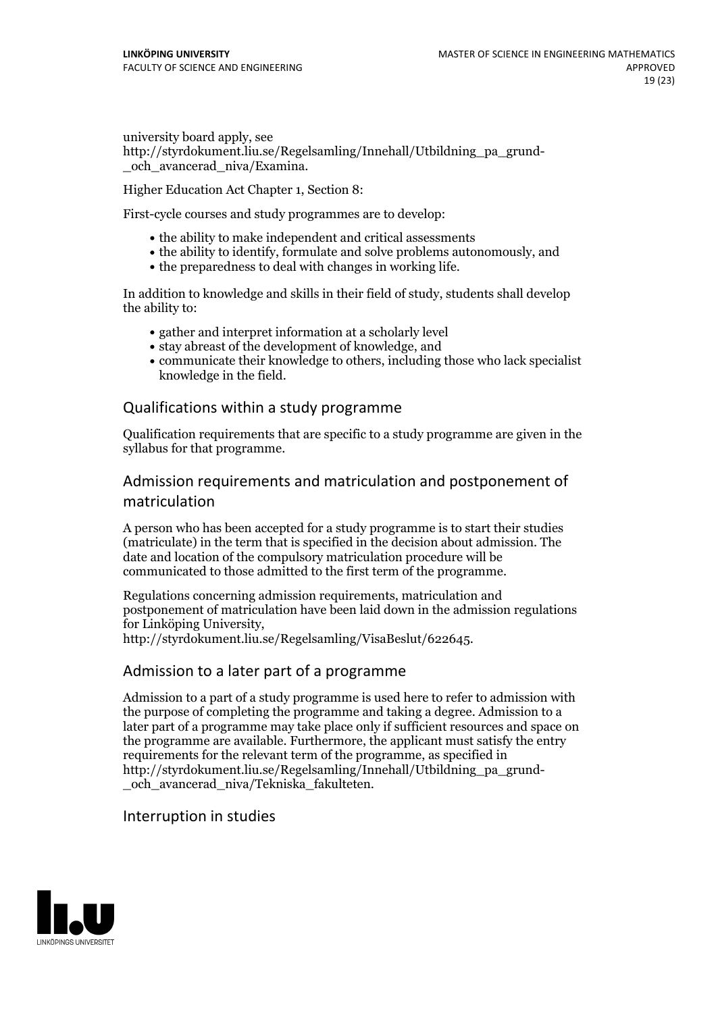university board apply, see http://styrdokument.liu.se/Regelsamling/Innehall/Utbildning\_pa\_grund-och\_avancerad\_niva/Examina.

Higher Education Act Chapter 1, Section 8:

First-cycle courses and study programmes are to develop:

- the ability to make independent and critical assessments
- the ability to identify, formulate and solve problems autonomously, and
- the preparedness to deal with changes in working life.

In addition to knowledge and skills in their field of study, students shall develop the ability to:

- gather and interpret information at a scholarly level
- stay abreast of the development of knowledge, and
- communicate their knowledge to others, including those who lack specialist knowledge in the field.

## Qualifications within astudy programme

Qualification requirements that are specific to a study programme are given in the syllabus for that programme.

## Admission requirements and matriculation and postponement of matriculation

A person who has been accepted for a study programme is to start their studies (matriculate) in the term that is specified in the decision about admission. The date and location of the compulsory matriculation procedure will be communicated to those admitted to the first term of the programme.

Regulations concerning admission requirements, matriculation and postponement of matriculation have been laid down in the admission regulations for Linköping University, http://styrdokument.liu.se/Regelsamling/VisaBeslut/622645.

## Admission to a later part of a programme

Admission to a part of a study programme is used here to refer to admission with the purpose of completing the programme and taking a degree. Admission to a later part of a programme may take place only if sufficient resources and space on the programme are available. Furthermore, the applicant must satisfy the entry requirements for the relevant term of the programme, as specified in http://styrdokument.liu.se/Regelsamling/Innehall/Utbildning\_pa\_grund- \_och\_avancerad\_niva/Tekniska\_fakulteten.

## Interruption in studies

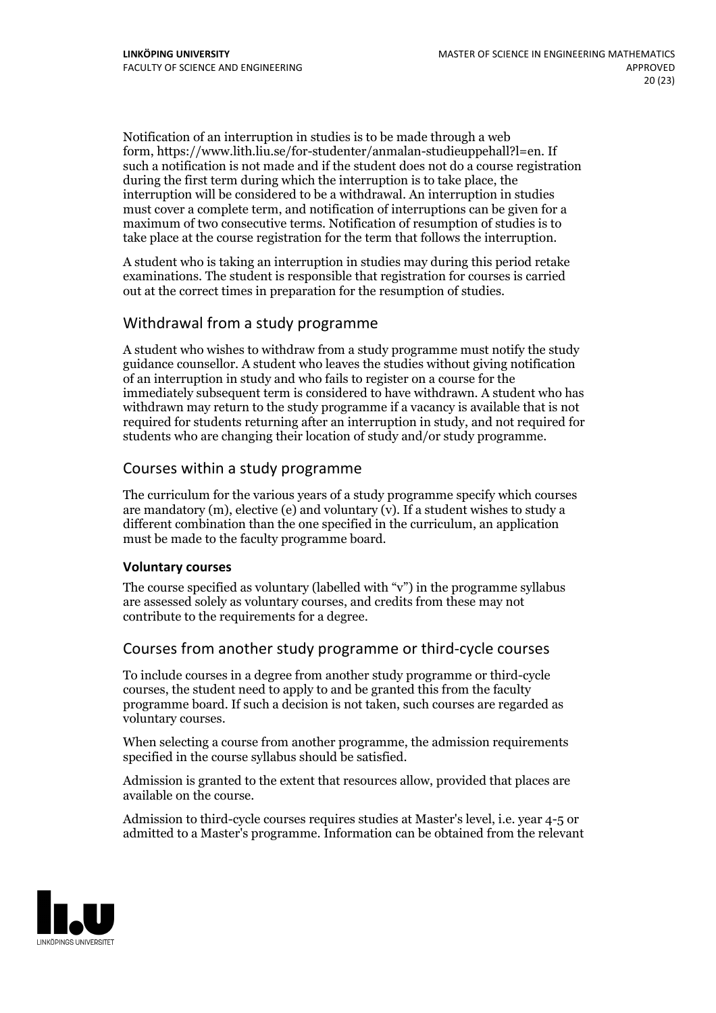Notification of an interruption in studies is to be made through a web form, https://www.lith.liu.se/for-studenter/anmalan-studieuppehall?l=en. If such a notification is not made and if the student does not do a course registration during the first term during which the interruption is to take place, the interruption will be considered to be a withdrawal. An interruption in studies must cover a complete term, and notification of interruptions can be given for a maximum of two consecutive terms. Notification of resumption of studies is to take place at the course registration for the term that follows the interruption.

A student who is taking an interruption in studies may during this period retake examinations. The student is responsible that registration for courses is carried out at the correct times in preparation for the resumption of studies.

## Withdrawal from astudy programme

A student who wishes to withdraw from a study programme must notify the study guidance counsellor. A student who leaves the studies without giving notification of an interruption in study and who fails to register on a course for the immediately subsequent term is considered to have withdrawn. A student who has withdrawn may return to the study programme if a vacancy is available that is not required for students returning after an interruption in study, and not required for students who are changing their location of study and/or study programme.

## Courses within astudy programme

The curriculum for the various years of a study programme specify which courses are mandatory  $(m)$ , elective (e) and voluntary  $(v)$ . If a student wishes to study a different combination than the one specified in the curriculum, an application must be made to the faculty programme board.

## **Voluntarycourses**

The course specified as voluntary (labelled with "v") in the programme syllabus are assessed solely as voluntary courses, and credits from these may not contribute to the requirements for a degree.

## Courses from another study programme or third-cycle courses

To include courses in a degree from another study programme or third-cycle courses, the student need to apply to and be granted this from the faculty programme board. If such a decision is not taken, such courses are regarded as voluntary courses.

When selecting a course from another programme, the admission requirements specified in the course syllabus should be satisfied.

Admission is granted to the extent that resources allow, provided that places are available on the course.

Admission to third-cycle courses requires studies at Master's level, i.e. year 4-5 or admitted to a Master's programme. Information can be obtained from the relevant

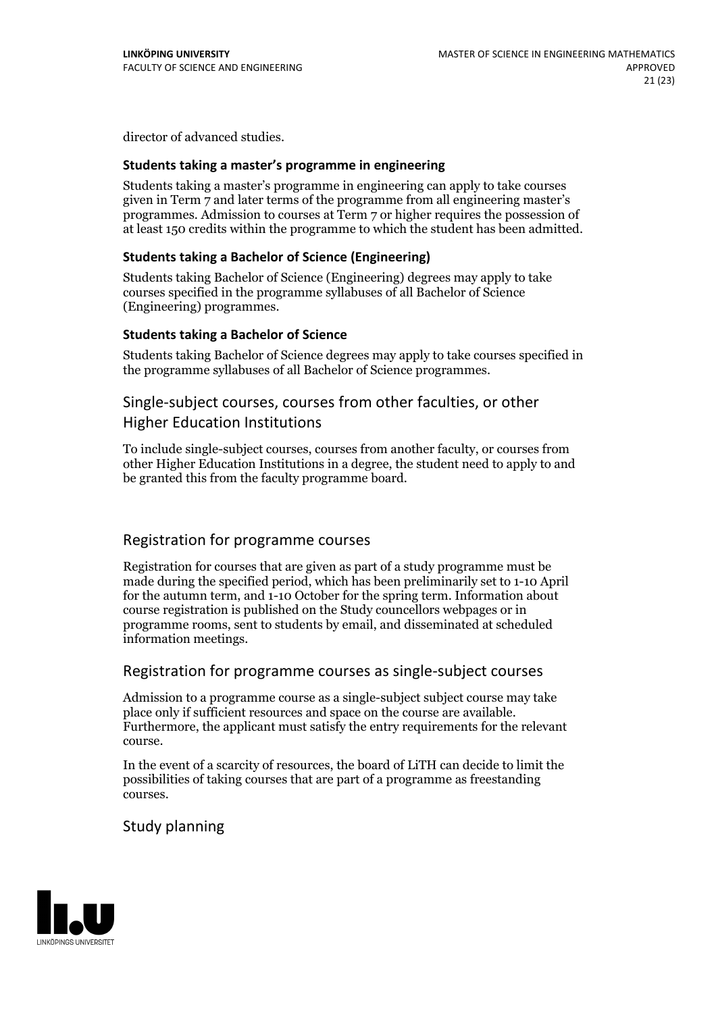director of advanced studies.

#### **Students taking a master's programme in engineering**

Students taking a master's programme in engineering can apply to take courses given in Term 7 and later terms of the programme from all engineering master's programmes. Admission to courses at Term 7 or higher requires the possession of at least 150 credits within the programme to which the student has been admitted.

## **Students taking a Bachelor of Science (Engineering)**

Students taking Bachelor of Science (Engineering) degrees may apply to take courses specified in the programme syllabuses of all Bachelor of Science (Engineering) programmes.

#### **Students taking a Bachelor of Science**

Students taking Bachelor of Science degrees may apply to take courses specified in the programme syllabuses of all Bachelor of Science programmes.

## Single-subject courses, courses from other faculties, or other

## Higher Education Institutions

To include single-subject courses, courses from another faculty, or courses from other Higher Education Institutions in a degree, the student need to apply to and be granted this from the faculty programme board.

## Registration for programme courses

Registration for courses that are given as part of a study programme must be made during the specified period, which has been preliminarily set to 1-10 April for the autumn term, and 1-10 October for the spring term. Information about course registration is published on the Study councellors webpages or in programme rooms, sent to students by email, and disseminated at scheduled information meetings.

## Registration for programme courses as single-subject courses

Admission to a programme course as a single-subject subject course may take place only if sufficient resources and space on the course are available. Furthermore, the applicant must satisfy the entry requirements for the relevant course.

In the event of a scarcity of resources, the board of LiTH can decide to limit the possibilities of taking courses that are part of a programme as freestanding courses.

## Study planning

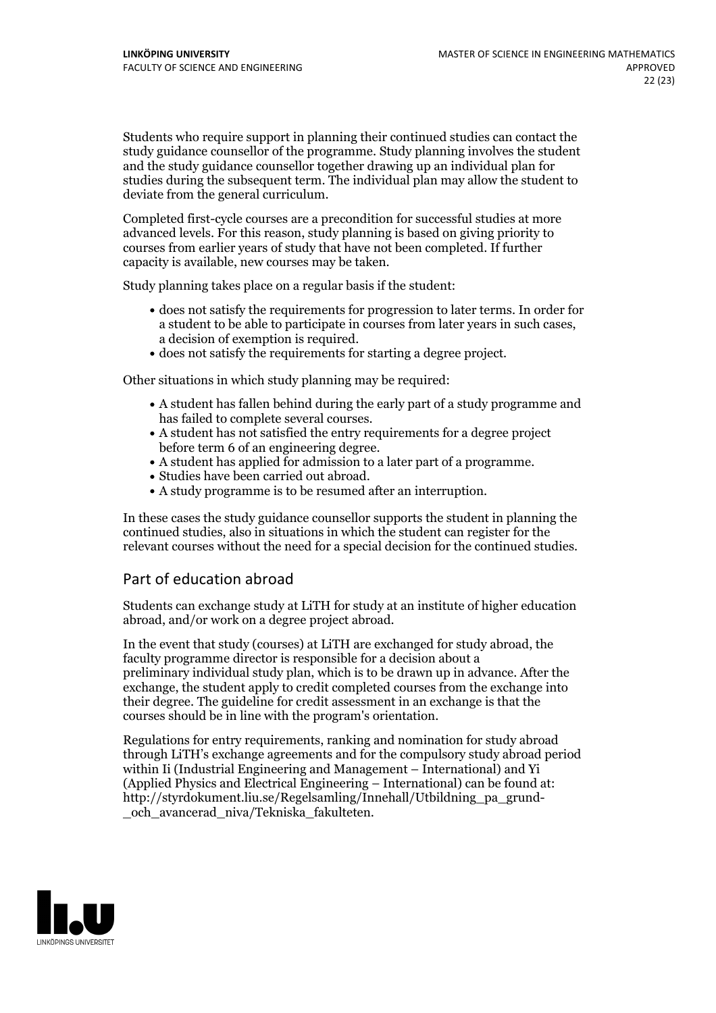Students who require support in planning their continued studies can contact the study guidance counsellor of the programme. Study planning involves the student and the study guidance counsellor together drawing up an individual plan for studies during the subsequent term. The individual plan may allow the student to deviate from the general curriculum.

Completed first-cycle courses are a precondition for successful studies at more advanced levels. For this reason, study planning is based on giving priority to courses from earlier years of study that have not been completed. If further capacity is available, new courses may be taken.

Study planning takes place on a regular basis if the student:

- does not satisfy the requirements for progression to later terms. In order for a student to be able to participate in courses from later years in such cases, a decision of exemption is required.<br>
• does not satisfy the requirements for starting a degree project.
- 

Other situations in which study planning may be required:

- A student has fallen behind during the early part of a study programme and
- has failed to complete several courses.<br>• A student has not satisfied the entry requirements for a degree project<br>before term 6 of an engineering degree.
- A student has applied for admission to a later part of a programme.<br>• Studies have been carried out abroad.<br>• A study programme is to be resumed after an interruption.
- 
- 

In these cases the study guidance counsellor supports the student in planning the continued studies, also in situations in which the student can register for the relevant courses without the need for a special decision for the continued studies.

## Part of education abroad

Students can exchange study at LiTH for study at an institute of higher education abroad, and/or work on a degree project abroad.

In the event that study (courses) at LiTH are exchanged for study abroad, the faculty programme director is responsible for a decision about a preliminary individual study plan, which is to be drawn up in advance. After the exchange, the student apply to credit completed courses from the exchange into their degree. The guideline for credit assessment in an exchange is that the courses should be in line with the program's orientation.

Regulations for entry requirements, ranking and nomination for study abroad through LiTH's exchange agreements and for the compulsory study abroad period within Ii (Industrial Engineering and Management – International) and Yi (Applied Physics and Electrical Engineering – International) can be found at: http://styrdokument.liu.se/Regelsamling/Innehall/Utbildning\_pa\_grund- \_och\_avancerad\_niva/Tekniska\_fakulteten.